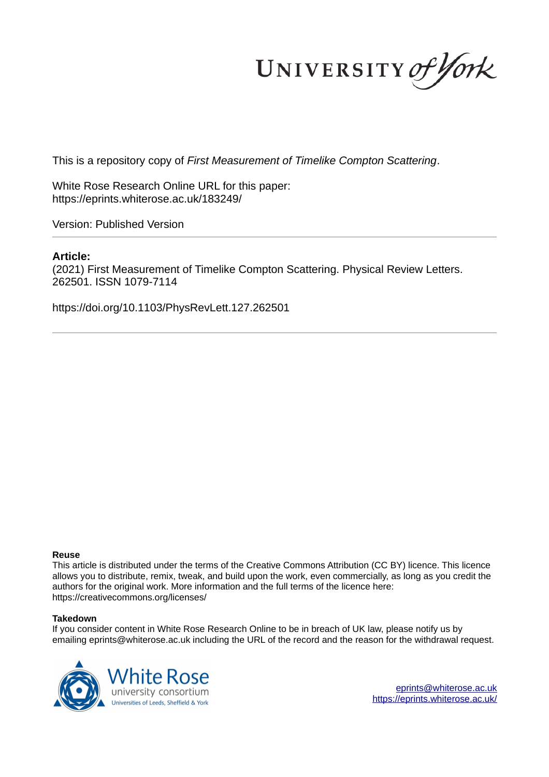UNIVERSITY of York

This is a repository copy of *First Measurement of Timelike Compton Scattering*.

White Rose Research Online URL for this paper: https://eprints.whiterose.ac.uk/183249/

Version: Published Version

# **Article:**

(2021) First Measurement of Timelike Compton Scattering. Physical Review Letters. 262501. ISSN 1079-7114

https://doi.org/10.1103/PhysRevLett.127.262501

### **Reuse**

This article is distributed under the terms of the Creative Commons Attribution (CC BY) licence. This licence allows you to distribute, remix, tweak, and build upon the work, even commercially, as long as you credit the authors for the original work. More information and the full terms of the licence here: https://creativecommons.org/licenses/

### **Takedown**

If you consider content in White Rose Research Online to be in breach of UK law, please notify us by emailing eprints@whiterose.ac.uk including the URL of the record and the reason for the withdrawal request.



eprints@whiterose.ac.uk https://eprints.whiterose.ac.uk/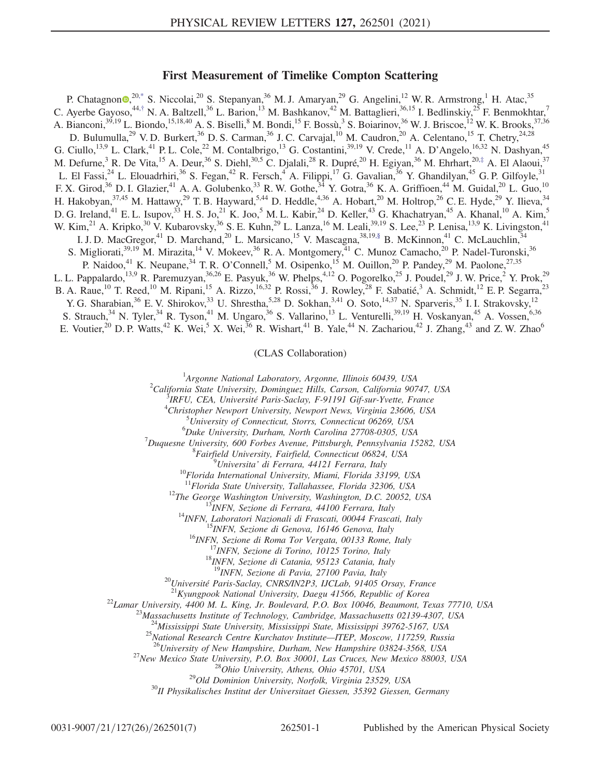## First Measurement of Timelike Compton Scattering

P. Chatagnon<sup>®,20,\*</sup> S. Niccolai,<sup>20</sup> S. Stepanyan,<sup>36</sup> M. J. Amaryan,<sup>29</sup> G. Angelini,<sup>12</sup> W. R. Armstrong,<sup>1</sup> H. Atac,<sup>35</sup> C. Ayerbe Gayoso,<sup>44,†</sup> N. A. Baltzell,<sup>36</sup> L. Barion,<sup>13</sup> M. Bashkanov,<sup>42</sup> M. Battaglieri,<sup>36,15</sup> I. Bedlinskiy,<sup>25</sup> F. Benmokhtar,<sup>7</sup> A. Bianconi,  $39,19$  L. Biondo,  $15,18,40$  A. S. Biselli,  $8$  M. Bondi,  $15$  F. Bossù,  $3$  S. Boiarinov,  $36$  W. J. Briscoe,  $12$  W. K. Brooks,  $37,36$ D. Bulumulla,<sup>29</sup> V. D. Burkert,<sup>36</sup> D. S. Carman,<sup>36</sup> J. C. Carvajal,<sup>10</sup> M. Caudron,<sup>20</sup> A. Celentano,<sup>15</sup> T. Chetry,<sup>24,28</sup> G. Ciullo,<sup>13,9</sup> L. Clark,<sup>41</sup> P. L. Cole,<sup>22</sup> M. Contalbrigo,<sup>13</sup> G. Costantini,<sup>39,19</sup> V. Crede,<sup>11</sup> A. D'Angelo,<sup>16,32</sup> N. Dashyan,<sup>45</sup> M. Defurne,<sup>3</sup> R. De Vita,<sup>15</sup> A. Deur,<sup>36</sup> S. Diehl,<sup>30,5</sup> C. Djalali,<sup>28</sup> R. Dupré,<sup>20</sup> H. Egiyan,<sup>36</sup> M. Ehrhart,<sup>20,‡</sup> A. El Alaoui,<sup>37</sup> L. El Fassi,  $^{24}$  L. Elouadrhiri,  $^{36}$  S. Fegan,  $^{42}$  R. Fersch,  $^{4}$  A. Filippi,  $^{17}$  G. Gavalian,  $^{36}$  Y. Ghandilyan,  $^{45}$  G. P. Gilfoyle,  $^{31}$ F. X. Girod,<sup>36</sup> D. I. Glazier,<sup>41</sup> A. A. Golubenko,<sup>33</sup> R. W. Gothe,<sup>34</sup> Y. Gotra,<sup>36</sup> K. A. Griffioen,<sup>44</sup> M. Guidal,<sup>20</sup> L. Guo,<sup>10</sup> H. Hakobyan,<sup>37,45</sup> M. Hattawy,<sup>29</sup> T. B. Hayward,<sup>5,44</sup> D. Heddle,<sup>4,36</sup> A. Hobart,<sup>20</sup> M. Holtrop,<sup>26</sup> C. E. Hyde,<sup>29</sup> Y. Ilieva,<sup>34</sup> D. G. Ireland,<sup>41</sup> E. L. Isupov,<sup>33</sup> H. S. Jo,<sup>21</sup> K. Joo,<sup>5</sup> M. L. Kabir,<sup>24</sup> D. Keller,<sup>43</sup> G. Khachatryan,<sup>45</sup> A. Khanal,<sup>10</sup> A. Kim,<sup>5</sup> W. Kim,<sup>21</sup> A. Kripko,<sup>30</sup> V. Kubarovsky,<sup>36</sup> S. E. Kuhn,<sup>29</sup> L. Lanza,<sup>16</sup> M. Leali,<sup>39,19</sup> S. Lee,<sup>23</sup> P. Lenisa,<sup>13,9</sup> K. Livingston,<sup>41</sup> I. J. D. MacGregor,<sup>41</sup> D. Marchand,<sup>20</sup> L. Marsicano,<sup>15</sup> V. Mascagna,<sup>38,19,§</sup> B. McKinnon,<sup>41</sup> C. McLauchlin,<sup>34</sup> S. Migliorati,<sup>39,19</sup> M. Mirazita,<sup>14</sup> V. Mokeev,<sup>36</sup> R. A. Montgomery,<sup>41</sup> C. Munoz Camacho,<sup>20</sup> P. Nadel-Turonski,<sup>36</sup> P. Naidoo,<sup>41</sup> K. Neupane,<sup>34</sup> T. R. O'Connell,<sup>5</sup> M. Osipenko,<sup>15</sup> M. Ouillon,<sup>20</sup> P. Pandey,<sup>29</sup> M. Paolone,<sup>27,35</sup> L. L. Pappalardo,<sup>13,9</sup> R. Paremuzyan,<sup>36,26</sup> E. Pasyuk,<sup>36</sup> W. Phelps,<sup>4,12</sup> O. Pogorelko,<sup>25</sup> J. Poudel,<sup>29</sup> J. W. Price,<sup>2</sup> Y. Prok,<sup>29</sup> B. A. Raue,<sup>10</sup> T. Reed,<sup>10</sup> M. Ripani,<sup>15</sup> A. Rizzo,<sup>16,32</sup> P. Rossi,<sup>36</sup> J. Rowley,<sup>28</sup> F. Sabatié,<sup>3</sup> A. Schmidt,<sup>12</sup> E. P. Segarra,<sup>23</sup> Y. G. Sharabian,<sup>36</sup> E. V. Shirokov,<sup>33</sup> U. Shrestha,<sup>5,28</sup> D. Sokhan,<sup>3,41</sup> O. Soto,<sup>14,37</sup> N. Sparveris,<sup>35</sup> I. I. Strakovsky,<sup>12</sup> S. Strauch,<sup>34</sup> N. Tyler,<sup>34</sup> R. Tyson,<sup>41</sup> M. Ungaro,<sup>36</sup> S. Vallarino,<sup>13</sup> L. Venturelli,<sup>39,19</sup> H. Voskanyan,<sup>45</sup> A. Vossen,<sup>6,36</sup> E. Voutier,<sup>20</sup> D. P. Watts,<sup>42</sup> K. Wei,<sup>5</sup> X. Wei,<sup>36</sup> R. Wishart,<sup>41</sup> B. Yale,<sup>44</sup> N. Zachariou,<sup>42</sup> J. Zhang,<sup>43</sup> and Z. W. Zhao<sup>6</sup>

(CLAS Collaboration)

<sup>1</sup>Argonne National Laboratory, Argonne, Illinois 60439, USA

 $^{2}$ California State University, Dominguez Hills, Carson, California 90747, USA

<sup>3</sup>IRFU, CEA, Université Paris-Saclay, F-91191 Gif-sur-Yvette, France

<sup>4</sup>Christopher Newport University, Newport News, Virginia 23606, USA

 $5$ University of Connecticut, Storrs, Connecticut 06269, USA

 ${}^{6}$ Duke University, Durham, North Carolina 27708-0305, USA

 $<sup>7</sup>Duques$ ne University, 600 Forbes Avenue, Pittsburgh, Pennsylvania 15282, USA</sup>

<sup>8</sup> Fairfield University, Fairfield, Connecticut 06824, USA

<sup>9</sup>Universita' di Ferrara, 44121 Ferrara, Italy

 $^{10}$ Florida International University, Miami, Florida 33199, USA

 $11$ Florida State University, Tallahassee, Florida 32306, USA

 $12$ The George Washington University, Washington, D.C. 20052, USA

<sup>13</sup>INFN, Sezione di Ferrara, 44100 Ferrara, Italy

<sup>14</sup>INFN, Laboratori Nazionali di Frascati, 00044 Frascati, Italy

<sup>15</sup>INFN, Sezione di Genova, 16146 Genova, Italy

<sup>16</sup>INFN, Sezione di Roma Tor Vergata, 00133 Rome, Italy

<sup>17</sup>INFN, Sezione di Torino, 10125 Torino, Italy

<sup>18</sup>INFN, Sezione di Catania, 95123 Catania, Italy

<sup>19</sup>INFN, Sezione di Pavia, 27100 Pavia, Italy

 $^{20}$ Université Paris-Saclay, CNRS/IN2P3, IJCLab, 91405 Orsay, France

 $^{21}$ Kyungpook National University, Daegu 41566, Republic of Korea

 $^{22}$ Lamar University, 4400 M. L. King, Jr. Boulevard, P.O. Box 10046, Beaumont, Texas 77710, USA

 $^{23}$ Massachusetts Institute of Technology, Cambridge, Massachusetts 02139-4307, USA

 $^{24}$ Mississippi State University, Mississippi State, Mississippi 39762-5167, USA

<sup>25</sup>National Research Centre Kurchatov Institute—ITEP, Moscow, 117259, Russia

 $^{26}$ University of New Hampshire, Durham, New Hampshire 03824-3568, USA

<sup>27</sup>New Mexico State University, P.O. Box 30001, Las Cruces, New Mexico 88003, USA

 $^{28}$ Ohio University, Athens, Ohio 45701, USA <sup>29</sup>Old Dominion University, Norfolk, Virginia 23529, USA

 $30$ II Physikalisches Institut der Universitaet Giessen, 35392 Giessen, Germany

 $0.031-9007/21/127(26)/262501(7)$  262501-1 Published by the American Physical Society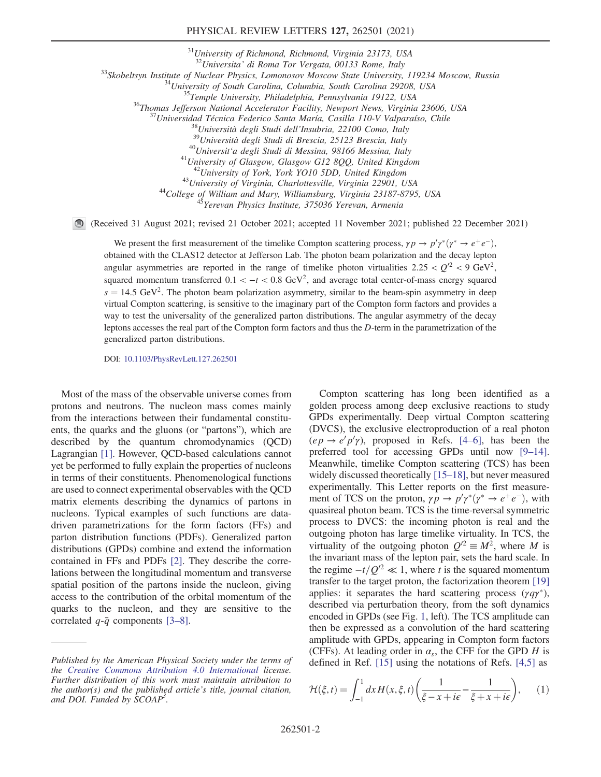#### PHYSICAL REVIEW LETTERS 127, 262501 (2021)

<sup>31</sup>University of Richmond, Richmond, Virginia 23173, USA

 $32$ Universita' di Roma Tor Vergata, 00133 Rome, Italy

<sup>33</sup>Skobeltsyn Institute of Nuclear Physics, Lomonosov Moscow State University, 119234 Moscow, Russia

 $34$ University of South Carolina, Columbia, South Carolina 29208, USA

<sup>35</sup>Temple University, Philadelphia, Pennsylvania 19122, USA

<sup>36</sup>Thomas Jefferson National Accelerator Facility, Newport News, Virginia 23606, USA

 $37$ Universidad Técnica Federico Santa María, Casilla 110-V Valparaíso, Chile

 $^{38}$ Università degli Studi dell'Insubria, 22100 Como, Italy

<sup>39</sup>Università degli Studi di Brescia, 25123 Brescia, Italy

<sup>40</sup>Universit'a degli Studi di Messina, 98166 Messina, Italy

 $^{41}$ University of Glasgow, Glasgow G12 8QQ, United Kingdom

<sup>42</sup>University of York, York YO10 5DD, United Kingdom <sup>43</sup>University of Virginia, Charlottesville, Virginia 22901, USA

<sup>44</sup>College of William and Mary, Williamsburg, Virginia 23187-8795, USA

<sup>45</sup>Yerevan Physics Institute, 375036 Yerevan, Armenia

(Received 31 August 2021; revised 21 October 2021; accepted 11 November 2021; published 22 December 2021)

We present the first measurement of the timelike Compton scattering process,  $\gamma p \to p' \gamma^* (\gamma^* \to e^+ e^-)$ , obtained with the CLAS12 detector at Jefferson Lab. The photon beam polarization and the decay lepton angular asymmetries are reported in the range of timelike photon virtualities  $2.25 < Q^2 < 9 \text{ GeV}^2$ , squared momentum transferred  $0.1 < -t < 0.8$  GeV<sup>2</sup>, and average total center-of-mass energy squared  $s = 14.5 \text{ GeV}^2$ . The photon beam polarization asymmetry, similar to the beam-spin asymmetry in deep virtual Compton scattering, is sensitive to the imaginary part of the Compton form factors and provides a way to test the universality of the generalized parton distributions. The angular asymmetry of the decay leptons accesses the real part of the Compton form factors and thus the D-term in the parametrization of the generalized parton distributions.

DOI: 10.1103/PhysRevLett.127.262501

Most of the mass of the observable universe comes from protons and neutrons. The nucleon mass comes mainly from the interactions between their fundamental constituents, the quarks and the gluons (or "partons"), which are described by the quantum chromodynamics (QCD) Lagrangian [1]. However, QCD-based calculations cannot yet be performed to fully explain the properties of nucleons in terms of their constituents. Phenomenological functions are used to connect experimental observables with the QCD matrix elements describing the dynamics of partons in nucleons. Typical examples of such functions are datadriven parametrizations for the form factors (FFs) and parton distribution functions (PDFs). Generalized parton distributions (GPDs) combine and extend the information contained in FFs and PDFs [2]. They describe the correlations between the longitudinal momentum and transverse spatial position of the partons inside the nucleon, giving access to the contribution of the orbital momentum of the quarks to the nucleon, and they are sensitive to the correlated  $q-\bar{q}$  components [3–8].

Compton scattering has long been identified as a golden process among deep exclusive reactions to study GPDs experimentally. Deep virtual Compton scattering (DVCS), the exclusive electroproduction of a real photon  $(ep \rightarrow e'p'\gamma)$ , proposed in Refs. [4–6], has been the preferred tool for accessing GPDs until now [9–14]. Meanwhile, timelike Compton scattering (TCS) has been widely discussed theoretically [15–18], but never measured experimentally. This Letter reports on the first measurement of TCS on the proton,  $\gamma p \to p' \gamma^* (\gamma^* \to e^+ e^-)$ , with quasireal photon beam. TCS is the time-reversal symmetric process to DVCS: the incoming photon is real and the outgoing photon has large timelike virtuality. In TCS, the virtuality of the outgoing photon  $Q^2 \equiv M^2$ , where M is the invariant mass of the lepton pair, sets the hard scale. In the regime  $-t/Q'^2 \ll 1$ , where t is the squared momentum transfer to the target proton, the factorization theorem [19] applies: it separates the hard scattering process  $(\gamma q \gamma^*),$ described via perturbation theory, from the soft dynamics encoded in GPDs (see Fig. 1, left). The TCS amplitude can then be expressed as a convolution of the hard scattering amplitude with GPDs, appearing in Compton form factors (CFFs). At leading order in  $\alpha_s$ , the CFF for the GPD H is defined in Ref. [15] using the notations of Refs. [4,5] as

$$
\mathcal{H}(\xi,t) = \int_{-1}^{1} dx H(x,\xi,t) \left( \frac{1}{\xi - x + i\epsilon} - \frac{1}{\xi + x + i\epsilon} \right), \qquad (1)
$$

Published by the American Physical Society under the terms of the Creative Commons Attribution 4.0 International license. Further distribution of this work must maintain attribution to the author(s) and the published article's title, journal citation, and DOI. Funded by SCOAP<sup>3</sup>.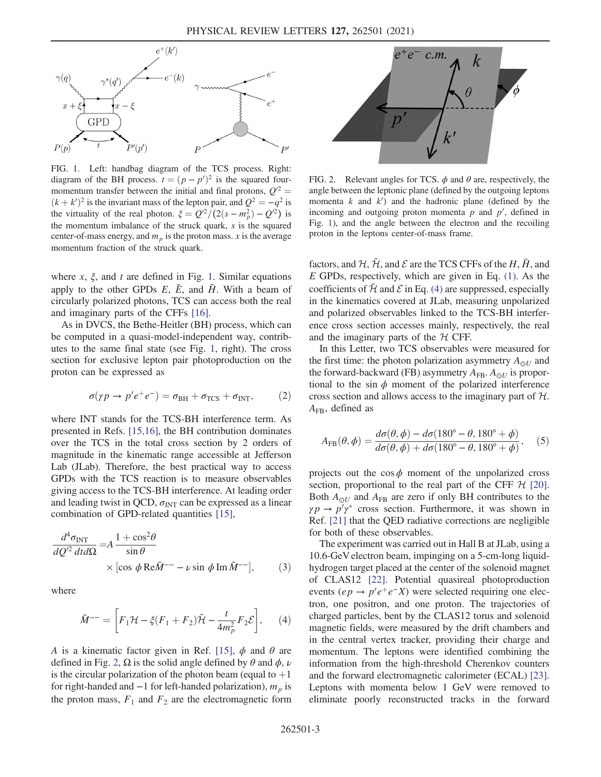

FIG. 1. Left: handbag diagram of the TCS process. Right: diagram of the BH process.  $t = (p - p')^2$  is the squared fourmomentum transfer between the initial and final protons,  $Q^2$  =  $(k + k')^2$  is the invariant mass of the lepton pair, and  $Q^2 = -q^2$  is the virtuality of the real photon.  $\xi = Q^2/(2(s - m_p^2) - Q^2)$  is the momentum imbalance of the struck quark,  $s$  is the squared center-of-mass energy, and  $m_p$  is the proton mass. x is the average momentum fraction of the struck quark.

where  $x$ ,  $\xi$ , and  $t$  are defined in Fig. 1. Similar equations apply to the other GPDs  $E$ ,  $\tilde{E}$ , and  $\tilde{H}$ . With a beam of circularly polarized photons, TCS can access both the real and imaginary parts of the CFFs [16].

As in DVCS, the Bethe-Heitler (BH) process, which can be computed in a quasi-model-independent way, contributes to the same final state (see Fig. 1, right). The cross section for exclusive lepton pair photoproduction on the proton can be expressed as

$$
\sigma(\gamma p \to p' e^+ e^-) = \sigma_{\rm BH} + \sigma_{\rm TCS} + \sigma_{\rm INT}, \qquad (2)
$$

where INT stands for the TCS-BH interference term. As presented in Refs. [15,16], the BH contribution dominates over the TCS in the total cross section by 2 orders of magnitude in the kinematic range accessible at Jefferson Lab (JLab). Therefore, the best practical way to access GPDs with the TCS reaction is to measure observables giving access to the TCS-BH interference. At leading order and leading twist in QCD,  $\sigma_{\text{INT}}$  can be expressed as a linear combination of GPD-related quantities [15],

$$
\frac{d^4 \sigma_{\text{INT}}}{dQ^2 \, dt d\Omega} = A \frac{1 + \cos^2 \theta}{\sin \theta}
$$
\n
$$
\times \left[ \cos \phi \, \text{Re}\tilde{M}^{-1} - \nu \sin \phi \, \text{Im}\, \tilde{M}^{-1} \right],\tag{3}
$$

where

$$
\tilde{M}^{--} = \left[ F_1 \mathcal{H} - \xi (F_1 + F_2) \tilde{\mathcal{H}} - \frac{t}{4m_p^2} F_2 \mathcal{E} \right], \qquad (4)
$$

A is a kinematic factor given in Ref. [15],  $\phi$  and  $\theta$  are defined in Fig. 2,  $\Omega$  is the solid angle defined by  $\theta$  and  $\phi$ ,  $\nu$ is the circular polarization of the photon beam (equal to  $+1$ for right-handed and  $-1$  for left-handed polarization),  $m_p$  is the proton mass,  $F_1$  and  $F_2$  are the electromagnetic form



FIG. 2. Relevant angles for TCS.  $\phi$  and  $\theta$  are, respectively, the angle between the leptonic plane (defined by the outgoing leptons momenta  $k$  and  $k'$ ) and the hadronic plane (defined by the incoming and outgoing proton momenta  $p$  and  $p'$ , defined in Fig. 1), and the angle between the electron and the recoiling proton in the leptons center-of-mass frame.

factors, and  $\mathcal{H}, \tilde{\mathcal{H}},$  and  $\mathcal E$  are the TCS CFFs of the  $H, \tilde{H},$  and  $E$  GPDs, respectively, which are given in Eq. (1). As the coefficients of  $\tilde{\mathcal{H}}$  and  $\mathcal E$  in Eq. (4) are suppressed, especially in the kinematics covered at JLab, measuring unpolarized and polarized observables linked to the TCS-BH interference cross section accesses mainly, respectively, the real and the imaginary parts of the  $H$  CFF.

In this Letter, two TCS observables were measured for the first time: the photon polarization asymmetry  $A_{\odot U}$  and the forward-backward (FB) asymmetry  $A_{FB}$ .  $A_{\odot U}$  is proportional to the sin  $\phi$  moment of the polarized interference cross section and allows access to the imaginary part of H.  $A_{FB}$ , defined as

$$
A_{\rm FB}(\theta,\phi) = \frac{d\sigma(\theta,\phi) - d\sigma(180^\circ - \theta, 180^\circ + \phi)}{d\sigma(\theta,\phi) + d\sigma(180^\circ - \theta, 180^\circ + \phi)},\tag{5}
$$

projects out the cos  $\phi$  moment of the unpolarized cross section, proportional to the real part of the CFF  $H$  [20]. Both  $A_{\odot U}$  and  $A_{\rm FB}$  are zero if only BH contributes to the  $\gamma p \to p' \gamma^*$  cross section. Furthermore, it was shown in Ref. [21] that the QED radiative corrections are negligible for both of these observables.

The experiment was carried out in Hall B at JLab, using a 10.6-GeV electron beam, impinging on a 5-cm-long liquidhydrogen target placed at the center of the solenoid magnet of CLAS12 [22]. Potential quasireal photoproduction events  $(ep \rightarrow p'e^+e^-X)$  were selected requiring one electron, one positron, and one proton. The trajectories of charged particles, bent by the CLAS12 torus and solenoid magnetic fields, were measured by the drift chambers and in the central vertex tracker, providing their charge and momentum. The leptons were identified combining the information from the high-threshold Cherenkov counters and the forward electromagnetic calorimeter (ECAL) [23]. Leptons with momenta below 1 GeV were removed to eliminate poorly reconstructed tracks in the forward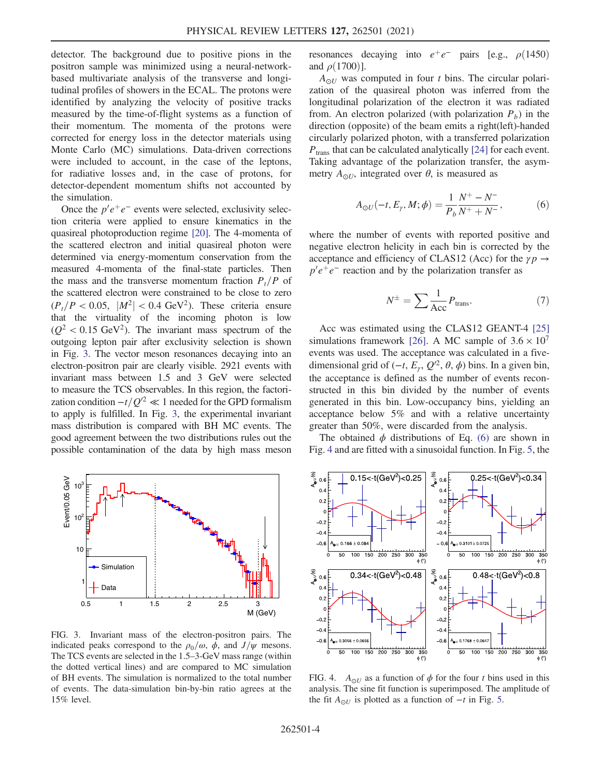detector. The background due to positive pions in the positron sample was minimized using a neural-networkbased multivariate analysis of the transverse and longitudinal profiles of showers in the ECAL. The protons were identified by analyzing the velocity of positive tracks measured by the time-of-flight systems as a function of their momentum. The momenta of the protons were corrected for energy loss in the detector materials using Monte Carlo (MC) simulations. Data-driven corrections were included to account, in the case of the leptons, for radiative losses and, in the case of protons, for detector-dependent momentum shifts not accounted by the simulation.

Once the  $p'e^+e^-$  events were selected, exclusivity selection criteria were applied to ensure kinematics in the quasireal photoproduction regime [20]. The 4-momenta of the scattered electron and initial quasireal photon were determined via energy-momentum conservation from the measured 4-momenta of the final-state particles. Then the mass and the transverse momentum fraction  $P_t/P$  of the scattered electron were constrained to be close to zero  $(P_t/P < 0.05, |M^2| < 0.4 \text{ GeV}^2)$ . These criteria ensure that the virtuality of the incoming photon is low  $(Q^2 < 0.15 \text{ GeV}^2)$ . The invariant mass spectrum of the outgoing lepton pair after exclusivity selection is shown in Fig. 3. The vector meson resonances decaying into an electron-positron pair are clearly visible. 2921 events with invariant mass between 1.5 and 3 GeV were selected to measure the TCS observables. In this region, the factorization condition  $-t/Q'^2 \ll 1$  needed for the GPD formalism to apply is fulfilled. In Fig. 3, the experimental invariant mass distribution is compared with BH MC events. The good agreement between the two distributions rules out the possible contamination of the data by high mass meson



FIG. 3. Invariant mass of the electron-positron pairs. The indicated peaks correspond to the  $\rho_0/\omega$ ,  $\phi$ , and  $J/\psi$  mesons. The TCS events are selected in the 1.5–3-GeV mass range (within the dotted vertical lines) and are compared to MC simulation of BH events. The simulation is normalized to the total number of events. The data-simulation bin-by-bin ratio agrees at the 15% level.

resonances decaying into  $e^+e^-$  pairs [e.g.,  $\rho$ (1450) and  $\rho(1700)$ ].

 $A_{\odot U}$  was computed in four t bins. The circular polarization of the quasireal photon was inferred from the longitudinal polarization of the electron it was radiated from. An electron polarized (with polarization  $P_b$ ) in the direction (opposite) of the beam emits a right(left)-handed circularly polarized photon, with a transferred polarization  $P_{trans}$  that can be calculated analytically [24] for each event. Taking advantage of the polarization transfer, the asymmetry  $A_{\odot U}$ , integrated over  $\theta$ , is measured as

$$
A_{\odot U}(-t, E_{\gamma}, M; \phi) = \frac{1}{P_b} \frac{N^+ - N^-}{N^+ + N^-},
$$
 (6)

where the number of events with reported positive and negative electron helicity in each bin is corrected by the acceptance and efficiency of CLAS12 (Acc) for the  $\gamma p \rightarrow$  $p'e^+e^-$  reaction and by the polarization transfer as

$$
N^{\pm} = \sum \frac{1}{\text{Acc}} P_{\text{trans}}.\tag{7}
$$

Acc was estimated using the CLAS12 GEANT-4 [25] simulations framework [26]. A MC sample of  $3.6 \times 10^7$ events was used. The acceptance was calculated in a fivedimensional grid of  $(-t, E_\gamma, Q^2, \theta, \phi)$  bins. In a given bin, the acceptance is defined as the number of events reconstructed in this bin divided by the number of events generated in this bin. Low-occupancy bins, yielding an acceptance below 5% and with a relative uncertainty greater than 50%, were discarded from the analysis.

The obtained  $\phi$  distributions of Eq. (6) are shown in Fig. 4 and are fitted with a sinusoidal function. In Fig. 5, the



FIG. 4.  $A_{\odot U}$  as a function of  $\phi$  for the four t bins used in this analysis. The sine fit function is superimposed. The amplitude of the fit  $A_{\odot U}$  is plotted as a function of  $-t$  in Fig. 5.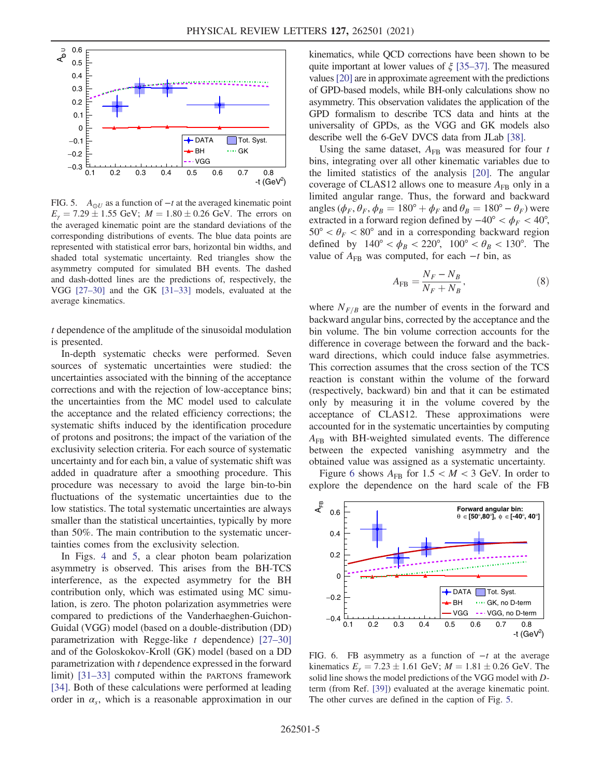

FIG. 5.  $A_{\odot U}$  as a function of  $-t$  at the averaged kinematic point  $E_{\gamma} = 7.29 \pm 1.55$  GeV;  $M = 1.80 \pm 0.26$  GeV. The errors on the averaged kinematic point are the standard deviations of the corresponding distributions of events. The blue data points are represented with statistical error bars, horizontal bin widths, and shaded total systematic uncertainty. Red triangles show the asymmetry computed for simulated BH events. The dashed and dash-dotted lines are the predictions of, respectively, the VGG [27–30] and the GK [31–33] models, evaluated at the average kinematics.

t dependence of the amplitude of the sinusoidal modulation is presented.

In-depth systematic checks were performed. Seven sources of systematic uncertainties were studied: the uncertainties associated with the binning of the acceptance corrections and with the rejection of low-acceptance bins; the uncertainties from the MC model used to calculate the acceptance and the related efficiency corrections; the systematic shifts induced by the identification procedure of protons and positrons; the impact of the variation of the exclusivity selection criteria. For each source of systematic uncertainty and for each bin, a value of systematic shift was added in quadrature after a smoothing procedure. This procedure was necessary to avoid the large bin-to-bin fluctuations of the systematic uncertainties due to the low statistics. The total systematic uncertainties are always smaller than the statistical uncertainties, typically by more than 50%. The main contribution to the systematic uncertainties comes from the exclusivity selection.

In Figs. 4 and 5, a clear photon beam polarization asymmetry is observed. This arises from the BH-TCS interference, as the expected asymmetry for the BH contribution only, which was estimated using MC simulation, is zero. The photon polarization asymmetries were compared to predictions of the Vanderhaeghen-Guichon-Guidal (VGG) model (based on a double-distribution (DD) parametrization with Regge-like  $t$  dependence) [27–30] and of the Goloskokov-Kroll (GK) model (based on a DD parametrization with t dependence expressed in the forward limit) [31–33] computed within the PARTONS framework [34]. Both of these calculations were performed at leading order in  $\alpha_s$ , which is a reasonable approximation in our kinematics, while QCD corrections have been shown to be quite important at lower values of  $\xi$  [35–37]. The measured values[20] are in approximate agreement with the predictions of GPD-based models, while BH-only calculations show no asymmetry. This observation validates the application of the GPD formalism to describe TCS data and hints at the universality of GPDs, as the VGG and GK models also describe well the 6-GeV DVCS data from JLab [38].

Using the same dataset,  $A_{FB}$  was measured for four t bins, integrating over all other kinematic variables due to the limited statistics of the analysis [20]. The angular coverage of CLAS12 allows one to measure  $A_{FR}$  only in a limited angular range. Thus, the forward and backward angles ( $\phi_F$ ,  $\theta_F$ ,  $\phi_B = 180^\circ + \phi_F$  and  $\theta_B = 180^\circ - \theta_F$ ) were extracted in a forward region defined by  $-40^{\circ} < \phi_F < 40^{\circ}$ ,  $50^{\circ} < \theta_F < 80^{\circ}$  and in a corresponding backward region defined by  $140^{\circ} < \phi_B < 220^{\circ}$ ,  $100^{\circ} < \theta_B < 130^{\circ}$ . The value of  $A_{FB}$  was computed, for each  $-t$  bin, as

$$
A_{\rm FB} = \frac{N_F - N_B}{N_F + N_B},\tag{8}
$$

where  $N_{F/B}$  are the number of events in the forward and backward angular bins, corrected by the acceptance and the bin volume. The bin volume correction accounts for the difference in coverage between the forward and the backward directions, which could induce false asymmetries. This correction assumes that the cross section of the TCS reaction is constant within the volume of the forward (respectively, backward) bin and that it can be estimated only by measuring it in the volume covered by the acceptance of CLAS12. These approximations were accounted for in the systematic uncertainties by computing  $A_{FB}$  with BH-weighted simulated events. The difference between the expected vanishing asymmetry and the obtained value was assigned as a systematic uncertainty.

Figure 6 shows  $A_{FB}$  for  $1.5 < M < 3$  GeV. In order to explore the dependence on the hard scale of the FB



FIG. 6. FB asymmetry as a function of  $-t$  at the average kinematics  $E_y = 7.23 \pm 1.61$  GeV;  $M = 1.81 \pm 0.26$  GeV. The solid line shows the model predictions of the VGG model with Dterm (from Ref. [39]) evaluated at the average kinematic point. The other curves are defined in the caption of Fig. 5.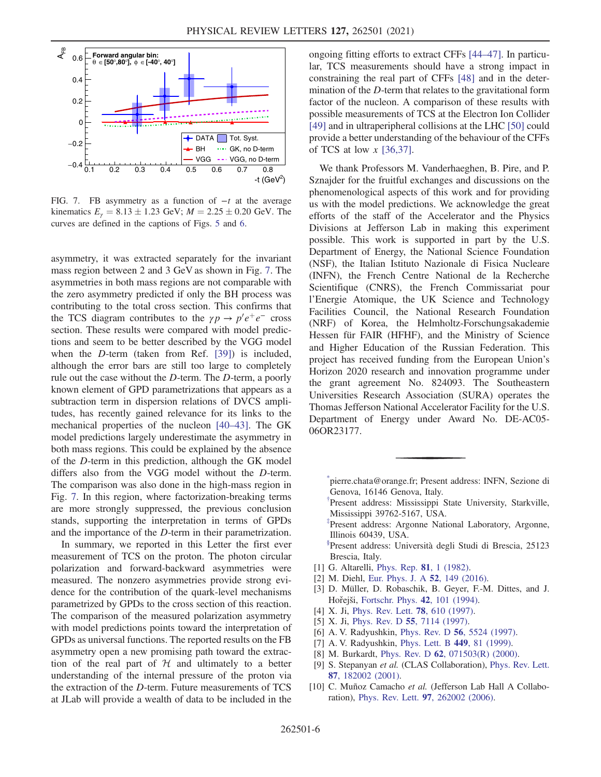

FIG. 7. FB asymmetry as a function of  $-t$  at the average kinematics  $E_{\gamma} = 8.13 \pm 1.23$  GeV;  $M = 2.25 \pm 0.20$  GeV. The curves are defined in the captions of Figs. 5 and 6.

asymmetry, it was extracted separately for the invariant mass region between 2 and 3 GeV as shown in Fig. 7. The asymmetries in both mass regions are not comparable with the zero asymmetry predicted if only the BH process was contributing to the total cross section. This confirms that the TCS diagram contributes to the  $\gamma p \to p' e^+ e^-$  cross section. These results were compared with model predictions and seem to be better described by the VGG model when the D-term (taken from Ref. [39]) is included, although the error bars are still too large to completely rule out the case without the D-term. The D-term, a poorly known element of GPD parametrizations that appears as a subtraction term in dispersion relations of DVCS amplitudes, has recently gained relevance for its links to the mechanical properties of the nucleon [40–43]. The GK model predictions largely underestimate the asymmetry in both mass regions. This could be explained by the absence of the D-term in this prediction, although the GK model differs also from the VGG model without the D-term. The comparison was also done in the high-mass region in Fig. 7. In this region, where factorization-breaking terms are more strongly suppressed, the previous conclusion stands, supporting the interpretation in terms of GPDs and the importance of the D-term in their parametrization.

In summary, we reported in this Letter the first ever measurement of TCS on the proton. The photon circular polarization and forward-backward asymmetries were measured. The nonzero asymmetries provide strong evidence for the contribution of the quark-level mechanisms parametrized by GPDs to the cross section of this reaction. The comparison of the measured polarization asymmetry with model predictions points toward the interpretation of GPDs as universal functions. The reported results on the FB asymmetry open a new promising path toward the extraction of the real part of  $H$  and ultimately to a better understanding of the internal pressure of the proton via the extraction of the D-term. Future measurements of TCS at JLab will provide a wealth of data to be included in the ongoing fitting efforts to extract CFFs [44–47]. In particular, TCS measurements should have a strong impact in constraining the real part of CFFs [48] and in the determination of the D-term that relates to the gravitational form factor of the nucleon. A comparison of these results with possible measurements of TCS at the Electron Ion Collider [49] and in ultraperipheral collisions at the LHC [50] could provide a better understanding of the behaviour of the CFFs of TCS at low  $x$  [36,37].

We thank Professors M. Vanderhaeghen, B. Pire, and P. Sznajder for the fruitful exchanges and discussions on the phenomenological aspects of this work and for providing us with the model predictions. We acknowledge the great efforts of the staff of the Accelerator and the Physics Divisions at Jefferson Lab in making this experiment possible. This work is supported in part by the U.S. Department of Energy, the National Science Foundation (NSF), the Italian Istituto Nazionale di Fisica Nucleare (INFN), the French Centre National de la Recherche Scientifique (CNRS), the French Commissariat pour l'Energie Atomique, the UK Science and Technology Facilities Council, the National Research Foundation (NRF) of Korea, the Helmholtz-Forschungsakademie Hessen für FAIR (HFHF), and the Ministry of Science and Higher Education of the Russian Federation. This project has received funding from the European Union's Horizon 2020 research and innovation programme under the grant agreement No. 824093. The Southeastern Universities Research Association (SURA) operates the Thomas Jefferson National Accelerator Facility for the U.S. Department of Energy under Award No. DE-AC05- 06OR23177.

\* pierre.chata@orange.fr; Present address: INFN, Sezione di Genova, 16146 Genova, Italy.

† Present address: Mississippi State University, Starkville, Mississippi 39762-5167, USA.

‡ Present address: Argonne National Laboratory, Argonne, Illinois 60439, USA.

- <sup>§</sup>Present address: Università degli Studi di Brescia, 25123 Brescia, Italy.
- [1] G. Altarelli, *Phys. Rep.* **81**, 1 (1982).
- [2] M. Diehl, Eur. Phys. J. A 52, 149 (2016).
- [3] D. Müller, D. Robaschik, B. Geyer, F.-M. Dittes, and J. Hořejši, Fortschr. Phys. **42**, 101 (1994).
- [4] X. Ji, Phys. Rev. Lett. **78**, 610 (1997).
- [5] X. Ji, Phys. Rev. D 55, 7114 (1997).
- [6] A. V. Radyushkin, Phys. Rev. D **56**, 5524 (1997).
- [7] A. V. Radyushkin, Phys. Lett. B 449, 81 (1999).
- [8] M. Burkardt, Phys. Rev. D 62, 071503(R) (2000).
- [9] S. Stepanyan et al. (CLAS Collaboration), Phys. Rev. Lett. 87, 182002 (2001).
- [10] C. Muñoz Camacho et al. (Jefferson Lab Hall A Collaboration), Phys. Rev. Lett. 97, 262002 (2006).